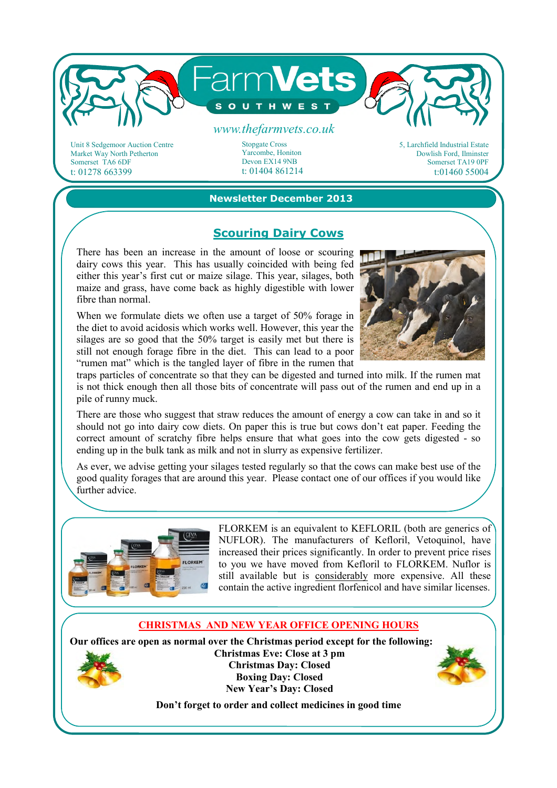

Market Way North Petherton Somerset TA6 6DF t: 01278 663399

Yarcombe, Honiton Devon EX14 9NB t: 01404 861214 Dowlish Ford, Ilminster Somerset TA19 0PF t:01460 55004

### **Newsletter December 2013**

### **Scouring Dairy Cows**

There has been an increase in the amount of loose or scouring dairy cows this year. This has usually coincided with being fed either this year's first cut or maize silage. This year, silages, both maize and grass, have come back as highly digestible with lower fibre than normal.

When we formulate diets we often use a target of 50% forage in the diet to avoid acidosis which works well. However, this year the silages are so good that the 50% target is easily met but there is still not enough forage fibre in the diet. This can lead to a poor "rumen mat" which is the tangled layer of fibre in the rumen that



traps particles of concentrate so that they can be digested and turned into milk. If the rumen mat is not thick enough then all those bits of concentrate will pass out of the rumen and end up in a pile of runny muck.

There are those who suggest that straw reduces the amount of energy a cow can take in and so it should not go into dairy cow diets. On paper this is true but cows don't eat paper. Feeding the correct amount of scratchy fibre helps ensure that what goes into the cow gets digested - so ending up in the bulk tank as milk and not in slurry as expensive fertilizer.

As ever, we advise getting your silages tested regularly so that the cows can make best use of the good quality forages that are around this year. Please contact one of our offices if you would like further advice.



FLORKEM is an equivalent to KEFLORIL (both are generics of NUFLOR). The manufacturers of Kefloril, Vetoquinol, have increased their prices significantly. In order to prevent price rises to you we have moved from Kefloril to FLORKEM. Nuflor is still available but is considerably more expensive. All these contain the active ingredient florfenicol and have similar licenses.

#### **CHRISTMAS AND NEW YEAR OFFICE OPENING HOURS**

**Our offices are open as normal over the Christmas period except for the following: Christmas Eve: Close at 3 pm Christmas Day: Closed** 

**Boxing Day: Closed New Year's Day: Closed** 

**Don't forget to order and collect medicines in good time**